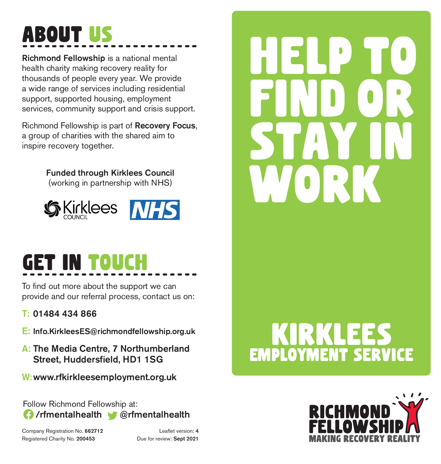## About US ------------------------

Richmond Fellowship is a national mental health charity making recovery reality for thousands of people every year. We provide a wide range of services including residential support, supported housing, employment services, community support and crisis support.

Richmond Fellowship is part of Recovery Focus, a group of charities with the shared aim to inspire recovery together.

Funded through Kirklees Council

(working in partnership with NHS)



#### get in touch ------------------------

To find out more about the support we can provide and our referral process, contact us on:

#### T: 01484 434 866

- E: Info.KirkleesES@richmondfellowship.org.uk
- A: The Media Centre, 7 Northumberland Street, Huddersfield, HD1 1SG
- W:www.rfkirkleesemployment.org.uk

Follow Richmond Fellowship at: /rfmentalhealth @rfmentalhealth

Company Registration No. 662712 Leaflet version: 4 Registered Charity No. 200453 Due for review: Sept 2021

# help to find or stay in work

# employment service Kirklees